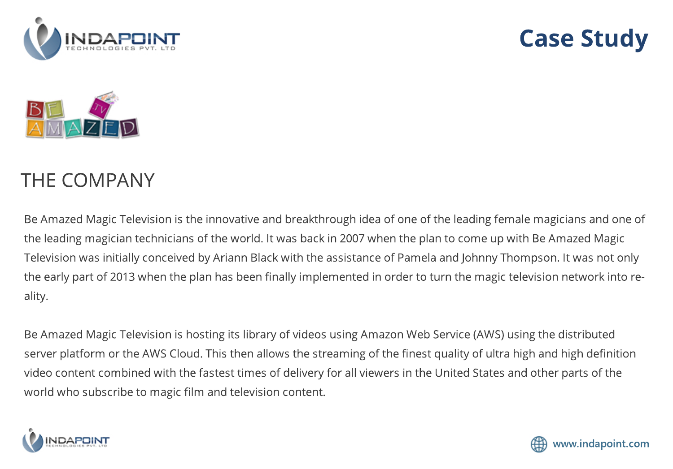

## **Case Study**



## THE COMPANY

Be Amazed Magic Television is the innovative and breakthrough idea of one of the leading female magicians and one of the leading magician technicians of the world. It was back in 2007 when the plan to come up with Be Amazed Magic Television was initially conceived by Ariann Black with the assistance of Pamela and Johnny Thompson. It was not only the early part of 2013 when the plan has been finally implemented in order to turn the magic television network into reality.

Be Amazed Magic Television is hosting its library of videos using Amazon Web Service (AWS) using the distributed server platform or the AWS Cloud. This then allows the streaming of the finest quality of ultra high and high definition video content combined with the fastest times of delivery for all viewers in the United States and other parts of the world who subscribe to magic film and television content.



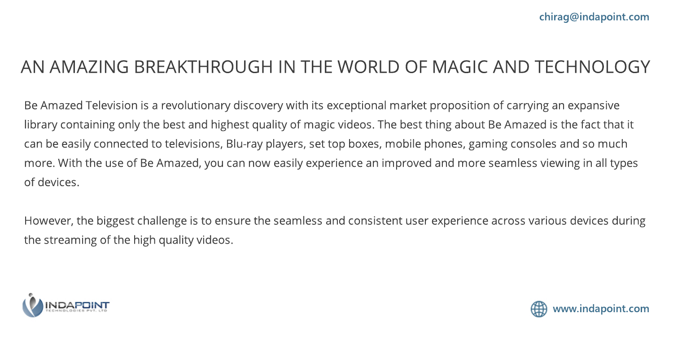## AN AMAZING BREAKTHROUGH IN THE WORLD OF MAGIC AND TECHNOLOGY

Be Amazed Television is a revolutionary discovery with its exceptional market proposition of carrying an expansive library containing only the best and highest quality of magic videos. The best thing about Be Amazed is the fact that it can be easily connected to televisions, Blu-ray players, set top boxes, mobile phones, gaming consoles and so much more. With the use of Be Amazed, you can now easily experience an improved and more seamless viewing in all types of devices.

However, the biggest challenge is to ensure the seamless and consistent user experience across various devices during the streaming of the high quality videos.